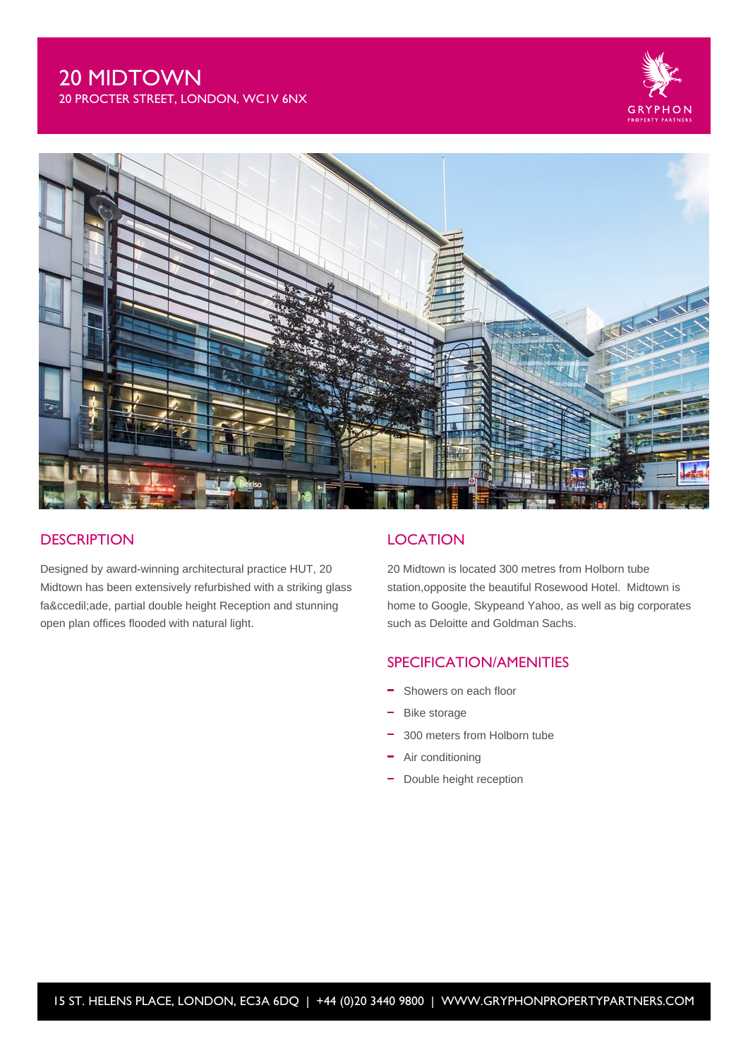# 20 MIDTOWN

20 PROCTER STREET, LONDON, WC1V 6NX





## **DESCRIPTION**

Designed by award-winning architectural practice HUT, 20 Midtown has been extensively refurbished with a striking glass façade, partial double height Reception and stunning open plan offices flooded with natural light.

### **LOCATION**

20 Midtown is located 300 metres from Holborn tube station,opposite the beautiful Rosewood Hotel. Midtown is home to Google, Skypeand Yahoo, as well as big corporates such as Deloitte and Goldman Sachs.

#### SPECIFICATION/AMENITIES

- Showers on each floor
- Bike storage
- 300 meters from Holborn tube
- Air conditioning
- Double height reception